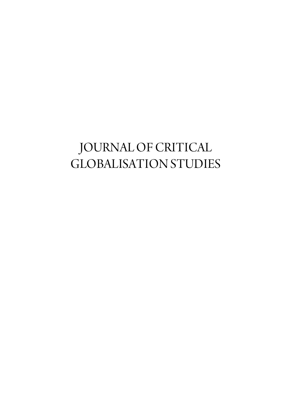## JOURNAL OF CRITICAL GLOBALISATION STUDIES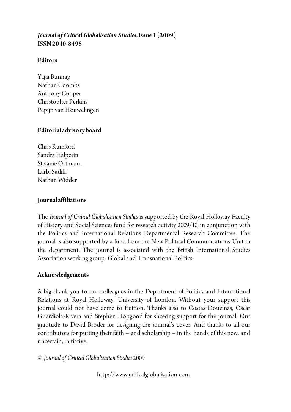#### *Journal of Critical Globalisation Studies***, Issue 1 (2009) ISSN 2040-8498**

#### **Editors**

Yajai Bunnag Nathan Coombs Anthony Cooper Christopher Perkins Pepijn van Houwelingen

#### **Editorial advisory board**

Chris Rumford Sandra Halperin Stefanie Ortmann Larbi Sadiki Nathan Widder

#### **Journal affiliations**

The *Journal of Critical Globalisation Studies* is supported by the Royal Holloway Faculty of History and Social Sciences fund for research activity 2009/10, in conjunction with the Politics and International Relations Departmental Research Committee. The journal is also supported by a fund from the New Political Communications Unit in the department. The journal is associated with the British International Studies Association working group: Global and Transnational Politics.

#### **Acknowledgements**

A big thank you to our colleagues in the Department of Politics and International Relations at Royal Holloway, University of London. Without your support this journal could not have come to fruition. Thanks also to Costas Douzinas, Oscar Guardiola-Rivera and Stephen Hopgood for showing support for the journal. Our gratitude to David Broder for designing the journal's cover. And thanks to all our contributors for putting their faith – and scholarship – in the hands of this new, and uncertain, initiative.

© *Journal of Critical Globalisation Studies* 2009

http://www.criticalglobalisation.com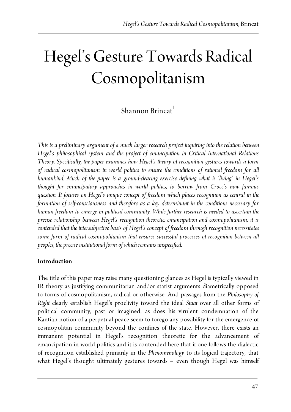# Hegel's Gesture Towards Radical Cosmopolitanism

### $Shannon Brincat<sup>1</sup>$

*This is a preliminary argument of a much larger research project inquiring into the relation between Hegel's philosophical system and the project of emancipation in Critical International Relations Theory. Specifically, the paper examines how Hegel's theory of recognition gestures towards a form of radical cosmopolitanism in world politics to ensure the conditions of rational freedom for all humankind. Much of the paper is a ground-clearing exercise defining what is 'living' in Hegel's thought for emancipatory approaches in world politics, to borrow from Croce's now famous question. It focuses on Hegel's unique concept of freedom which places recognition as central in the formation of self-consciousness and therefore as a key determinant in the conditions necessary for human freedom to emerge in political community. While further research is needed to ascertain the precise relationship between Hegel's recognition theoretic, emancipation and cosmopolitanism, it is contended that the intersubjective basis of Hegel's concept of freedom through recognition necessitates some form of radical cosmopolitanism that ensures successful processes of recognition between all peoples, the precise institutional form of which remains unspecified.*

#### **Introduction**

The title of this paper may raise many questioning glances as Hegel is typically viewed in IR theory as justifying communitarian and/or statist arguments diametrically opposed to forms of cosmopolitanism, radical or otherwise. And passages from the *Philosophy of Right* clearly establish Hegel's proclivity toward the ideal *Staat* over all other forms of political community, past or imagined, as does his virulent condemnation of the Kantian notion of a perpetual peace seem to forego any possibility for the emergence of cosmopolitan community beyond the confines of the state. However, there exists an immanent potential in Hegel's recognition theoretic for the advancement of emancipation in world politics and it is contended here that if one follows the dialectic of recognition established primarily in the *Phenomenology* to its logical trajectory, that what Hegel's thought ultimately gestures towards – even though Hegel was himself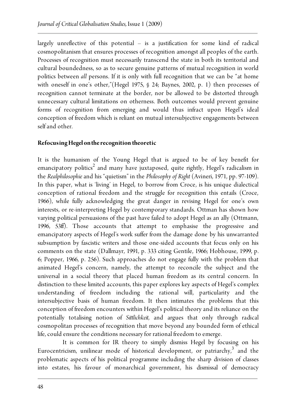largely unreflective of this potential – is a justification for some kind of radical cosmopolitanism that ensures processes of recognition amongst all peoples of the earth. Processes of recognition must necessarily transcend the state in both its territorial and cultural boundedness, so as to secure genuine patterns of mutual recognition in world politics between *all* persons. If it is only with full recognition that we can be "at home with oneself in one's other,"(Hegel 1975, § 24; Baynes, 2002, p. 1) then processes of recognition cannot terminate at the border, nor be allowed to be distorted through unnecessary cultural limitations on otherness. Both outcomes would prevent genuine forms of recognition from emerging and would thus infract upon Hegel's ideal conception of freedom which is reliant on mutual intersubjective engagements between self and other.

#### **Refocusing Hegel on the recognition theoretic**

It is the humanism of the Young Hegel that is argued to be of key benefit for emancipatory politics $^2$  and many have juxtaposed, quite rightly, Hegel's radicalism in the *Realphilosophie* and his "quietism" in the *Philosophy of Right* (Avineri, 1971, pp. 97-109). In this paper, what is 'living' in Hegel, to borrow from Croce, is his unique dialectical conception of rational freedom and the struggle for recognition this entails (Croce, 1966), while fully acknowledging the great danger in revising Hegel for one's own interests, or re-interpreting Hegel by contemporary standards. Ottman has shown how varying political persuasions of the past have failed to adopt Hegel as an ally (Ottmann, 1996, 53ff). Those accounts that attempt to emphasise the progressive and emancipatory aspects of Hegel's work suffer from the damage done by his unwarranted subsumption by fascistic writers and those one-sided accounts that focus only on his comments on the state (Dallmayr, 1991, p. 333 citing Gentile, 1966; Hobhouse, 1999, p. 6; Popper, 1966, p. 256). Such approaches do not engage fully with the problem that animated Hegel's concern, namely, the attempt to reconcile the subject and the universal in a social theory that placed human freedom as its central concern. In distinction to these limited accounts, this paper explores key aspects of Hegel's complex understanding of freedom including the rational will, particularity and the intersubjective basis of human freedom. It then intimates the problems that this conception of freedom encounters within Hegel's political theory and its reliance on the potentially totalising notion of *Sittlichkeit*, and argues that only through radical cosmopolitan processes of recognition that move beyond any bounded form of ethical life, could ensure the conditions necessary for rational freedom to emerge.

It is common for IR theory to simply dismiss Hegel by focusing on his Eurocentricism, unilinear mode of historical development, or patriarchy, $3$  and the problematic aspects of his political programme including the sharp division of classes into estates, his favour of monarchical government, his dismissal of democracy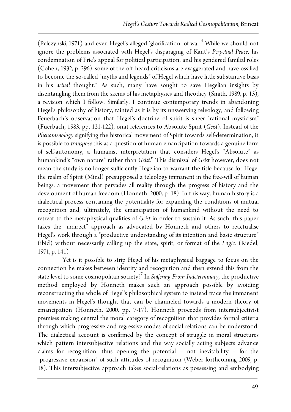(Pelczynski, 1971) and even Hegel's alleged 'glorification' of war.<sup>4</sup> While we should not ignore the problems associated with Hegel's disparaging of Kant's *Perpetual Peace*, his condemnation of Frie's appeal for political participation, and his gendered familial roles (Cohen, 1932, p. 296), some of the oft-heard criticisms are exaggerated and have ossified to become the so-called "myths and legends" of Hegel which have little substantive basis in his *actual* thought.<sup>5</sup> As such, many have sought to save Hegelian insights by disentangling them from the skeins of his metaphysics and theodicy (Smith, 1989, p. 15), a revision which I follow. Similarly, I continue contemporary trends in abandoning Hegel's philosophy of history, tainted as it is by its unswerving teleology, and following Feuerbach's observation that Hegel's doctrine of spirit is sheer "rational mysticism" (Fuerbach, 1983, pp. 121-122), omit references to Absolute Spirit (*Geist*). Instead of the *Phenomenology* signifying the historical movement of Spirit towards self-determination, it is possible to *transpose* this as a question of human emancipation towards a genuine form of self-autonomy, a humanist interpretation that considers Hegel's "Absolute" as humankind's "own nature" rather than *Geist*. 6 This dismissal of *Geist* however, does not mean the study is no longer sufficiently Hegelian to warrant the title because for Hegel the realm of Spirit (Mind) presupposed a teleology immanent in the free-will of human beings, a movement that pervades all reality through the progress of history and the development of human freedom (Honneth, 2000, p. 18). In this way, human history is a dialectical process containing the potentiality for expanding the conditions of mutual recognition and, ultimately, the emancipation of humankind without the need to retreat to the metaphysical qualities of *Geist* in order to sustain it. As such, this paper takes the "indirect" approach as advocated by Honneth and others to reactualise Hegel's work through a "productive understanding of its intention and basic structure" (ibid) without necessarily calling up the state, spirit, or format of the *Logic*. (Riedel, 1971, p. 141)

Yet is it possible to strip Hegel of his metaphysical baggage to focus on the connection he makes between identity and recognition and then extend this from the state level to some cosmopolitan society?<sup>7</sup> In *Suffering From Indeterminacy*, the productive method employed by Honneth makes such an approach possible by avoiding reconstructing the whole of Hegel's philosophical system to instead trace the immanent movements in Hegel's thought that can be channeled towards a modern theory of emancipation (Honneth, 2000, pp. 7-17). Honneth proceeds from intersubjectivist premises making central the moral category of recognition that provides formal criteria through which progressive and regressive modes of social relations can be understood. The dialectical account is confirmed by the concept of struggle in moral structures which pattern intersubjective relations and the way socially acting subjects advance claims for recognition, thus opening the potential – not inevitability – for the "progressive expansion" of such attitudes of recognition (Weber forthcoming 2009, p. 18). This intersubjective approach takes social-relations as possessing and embodying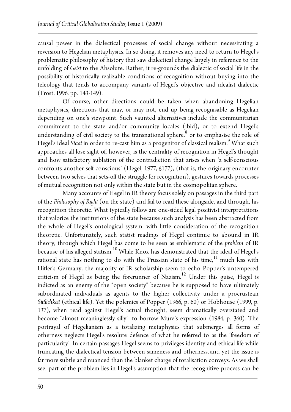causal power in the dialectical processes of social change without necessitating a reversion to Hegelian metaphysics. In so doing, it removes any need to return to Hegel's problematic philosophy of history that saw dialectical change largely in reference to the unfolding of *Geist* to the Absolute. Rather, it re-grounds the dialectic of social life in the possibility of historically realizable conditions of recognition without buying into the teleology that tends to accompany variants of Hegel's objective and idealist dialectic (Frost, 1996, pp. 143-149).

Of course, other directions could be taken when abandoning Hegelian metaphysics, directions that may, or may not, end up being recognisable as Hegelian depending on one's viewpoint. Such vaunted alternatives include the communitarian commitment to the state and/or community locales (ibid), or to extend Hegel's understanding of civil society to the transnational sphere, $^8$  or to emphasise the role of Hegel's ideal *Staat* in order to re-cast him as a progenitor of classical realism.<sup>9</sup> What such approaches all lose sight of, however, is the centrality of recognition in Hegel's thought and how satisfactory sublation of the contradiction that arises when 'a self-conscious confronts another self-conscious' (Hegel, 1977, §177), (that is, the originary encounter between two selves that sets-off the struggle for recognition), gestures towards processes of mutual recognition not only within the state but in the cosmopolitan sphere.

Many accounts of Hegel in IR theory focus solely on passages in the third part of the *Philosophy of Right* (on the state) and fail to read these alongside, and through, his recognition theoretic. What typically follow are one-sided legal positivist interpretations that valorize the institutions of the state because such analysis has been abstracted from the whole of Hegel's ontological system, with little consideration of the recognition theoretic. Unfortunately, such statist readings of Hegel continue to abound in IR theory, through which Hegel has come to be seen as emblematic of the *problem* of IR because of his alleged statism.<sup>10</sup> While Knox has demonstrated that the ideal of Hegel's rational state has nothing to do with the Prussian state of his time, $11$  much less with Hitler's Germany, the majority of IR scholarship seem to echo Popper's untempered criticism of Hegel as being the forerunner of Nazism.<sup>12</sup> Under this guise, Hegel is indicted as an enemy of the "open society" because he is supposed to have ultimately subordinated individuals as agents to the higher collectivity under a procrustean *Sittlichkeit* (ethical life). Yet the polemics of Popper (1966, p. 60) or Hobhouse (1999, p. 137), when read against Hegel's actual thought, seem dramatically overstated and become "almost meaninglessly silly", to borrow Mure's expression (1984, p. 360). The portrayal of Hegelianism as a totalizing metaphysics that submerges all forms of otherness neglects Hegel's resolute defence of what he referred to as the 'freedom of particularity'. In certain passages Hegel seems to privileges identity and ethical life while truncating the dialectical tension between sameness and otherness, and yet the issue is far more subtle and nuanced than the blanket charge of totalisation conveys. As we shall see, part of the problem lies in Hegel's assumption that the recognitive process can be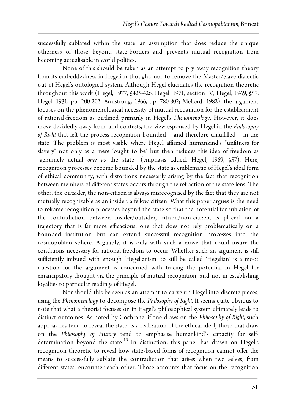successfully sublated within the state, an assumption that does reduce the unique otherness of those beyond state-borders and prevents mutual recognition from becoming actualisable in world politics.

None of this should be taken as an attempt to pry away recognition theory from its embeddedness in Hegelian thought, nor to remove the Master/Slave dialectic out of Hegel's ontological system. Although Hegel elucidates the recognition theoretic throughout this work (Hegel, 1977, §425-426; Hegel, 1971, section IV; Hegel, 1969, §57; Hegel, 1931, pp. 200-202; Armstrong, 1966, pp. 780-802; Mefford, 1982), the argument focuses on the phenomenological necessity of mutual recognition for the establishment of rational-freedom as outlined primarily in Hegel's *Phenomenology*. However, it does move decidedly away from, and contests, the view espoused by Hegel in the *Philosophy of Right* that left the process recognition bounded – and therefore unfulfilled – in the state. The problem is most visible where Hegel affirmed humankind's "unfitness for slavery" not only as a mere 'ought to be' but then reduces this idea of freedom as "genuinely actual *only as* the state" (emphasis added, Hegel, 1969, §57). Here, recognition processes become bounded by the state as emblematic of Hegel's ideal form of ethical community, with distortions necessarily arising by the fact that recognition between members of different states occurs through the refraction of the state lens. The other, the outsider, the non-citizen is always misrecognised by the fact that they are not mutually recognizable as an insider, a fellow citizen. What this paper argues is the need to reframe recognition processes beyond the state so that the potential for sublation of the contradiction between insider/outsider, citizen/non-citizen, is placed on a trajectory that is far more efficacious; one that does not rely problematically on a bounded institution but can extend successful recognition processes into the cosmopolitan sphere. Arguably, it is only with such a move that could insure the conditions necessary for rational freedom to occur. Whether such an argument is still sufficiently imbued with enough 'Hegelianism' to still be called 'Hegelian' is a moot question for the argument is concerned with tracing the potential in Hegel for emancipatory thought via the principle of mutual recognition, and not in establishing loyalties to particular readings of Hegel.

Nor should this be seen as an attempt to carve up Hegel into discrete pieces, using the *Phenomenology* to decompose the *Philosophy of Right*. It seems quite obvious to note that what a theorist focuses on in Hegel's philosophical system ultimately leads to distinct outcomes. As noted by Cochrane, if one draws on the *Philosophy of Right*, such approaches tend to reveal the state as a realization of the ethical ideal; those that draw on the *Philosophy of History* tend to emphasise humankind's capacity for selfdetermination beyond the state.<sup>13</sup> In distinction, this paper has drawn on Hegel's recognition theoretic to reveal how state-based forms of recognition cannot offer the means to successfully sublate the contradiction that arises when two selves, from different states, encounter each other. Those accounts that focus on the recognition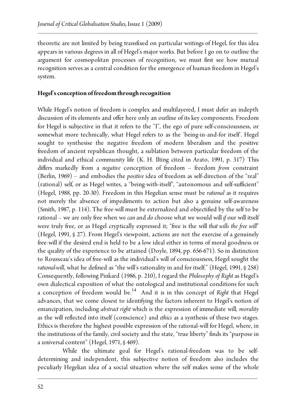theoretic are not limited by being transfixed on particular writings of Hegel, for this idea appears in various degrees in all of Hegel's major works. But before I go on to outline the argument for cosmopolitan processes of recognition, we must first see how mutual recognition serves as a central condition for the emergence of human freedom in Hegel's system.

#### **Hegel's conception of freedom through recognition**

While Hegel's notion of freedom is complex and multilayered, I must defer an indepth discussion of its elements and offer here only an outline of its key components. Freedom for Hegel is subjective in that it refers to the "I", the ego of pure self-consciousness, or somewhat more technically, what Hegel refers to as the 'being-in-and-for itself'. Hegel sought to synthesise the negative freedom of modern liberalism and the positive freedom of ancient republican thought, a sublation between particular freedom of the individual and ethical community life (K. H. Ilting cited in Arato, 1991, p. 317). This differs markedly from a *negative* conception of freedom – freedom *from* constraint (Berlin, 1969) – and embodies the *positive* idea of freedom as self-direction of the "real" (rational) self, or as Hegel writes, a "being-with-itself", "autonomous and self-sufficient" (Hegel, 1988, pp. 20-30). Freedom in this Hegelian sense must be *rational* as it requires not merely the absence of impediments to action but also a genuine self-awareness (Smith, 1987, p. 114). The free-will must be externalized and objectified by the self to be rational – we are only free when we *can* and *do* choose what we would will *if* our will itself were truly free, or as Hegel cryptically expressed it; "free is the will *that wills the free will*" (Hegel, 1991, § 27). From Hegel's viewpoint, actions are not the exercise of a genuinely free-will if the desired end is held to be a low ideal either in terms of moral goodness or the quality of the experience to be attained (Doyle, 1894, pp. 656-671). So in distinction to Rousseau's idea of free-will as the individual's will of consciousness, Hegel sought the *rational-will*, what he defined as "the will's rationality in and for itself." (Hegel, 1991, § 258) Consequently, following Pinkard (1986, p. 210), I regard the *Philosophy of Right* as Hegel's own dialectical exposition of what the ontological and institutional conditions for such a conception of freedom would be.<sup>14</sup> And it is in this concept of *Right* that Hegel advances, that we come closest to identifying the factors inherent to Hegel's notion of emancipation, including *abstract right* which is the expression of immediate will, *morality* as the will reflected into itself (conscience) and *ethics* as a synthesis of these two stages. Ethics is therefore the highest possible expression of the rational-will for Hegel, where, in the institutions of the family, civil society and the state, "true liberty" finds its "purpose in a universal content" (Hegel, 1971, § 469).

While the ultimate goal for Hegel's rational-freedom was to be selfdetermining and independent, this subjective notion of freedom also includes the peculiarly Hegelian idea of a social situation where the self makes sense of the whole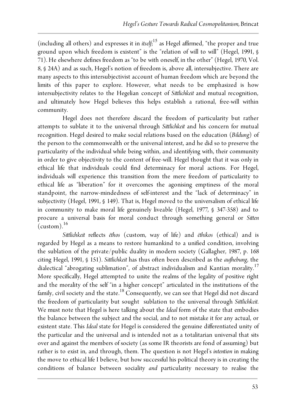(including all others) and expresses it in *itself*; <sup>15</sup> as Hegel affirmed, "the proper and true ground upon which freedom is existent" is the "relation of will to will" (Hegel, 1991, § 71). He elsewhere defines freedom as "to be with oneself, in the other" (Hegel, 1970, Vol. 8, § 24A) and as such, Hegel's notion of freedom is, above all, intersubjective. There are many aspects to this intersubjectivist account of human freedom which are beyond the limits of this paper to explore. However, what needs to be emphasized is how intersubjectivity relates to the Hegelian concept of *Sittlichkeit* and mutual recognition, and ultimately how Hegel believes this helps establish a rational, free-will within community.

Hegel does not therefore discard the freedom of particularity but rather attempts to sublate it to the universal through *Sittlichkeit* and his concern for mutual recognition. Hegel desired to make social relations based on the education (*Bildung*) of the person to the commonwealth or the universal interest, and he did so to preserve the particularity of the individual while being within, and identifying with, their community in order to give objectivity to the content of free-will. Hegel thought that it was only in ethical life that individuals could find determinacy for moral actions. For Hegel, individuals will experience this transition from the mere freedom of particularity to ethical life as "liberation" for it overcomes the agonising emptiness of the moral standpoint, the narrow-mindedness of self-interest and the "lack of determinacy" in subjectivity (Hegel, 1991, § 149). That is, Hegel moved to the universalism of ethical life in community to make moral life genuinely liveable (Hegel, 1977, § 347-358) and to procure a universal basis for moral conduct through something general or *Sitten*  $(custom).$ <sup>16</sup>

*Sittlichkeit* reflects *ēthos* (custom, way of life) and *ēthikos* (ethical) and is regarded by Hegel as a means to restore humankind to a unified condition, involving the sublation of the private/public duality in modern society (Gallagher, 1987, p. 168 citing Hegel, 1991, § 151). *Sittlichkeit* has thus often been described as the *aufhebung*, the dialectical "abrogating sublimation", of abstract individualism and Kantian morality.<sup>17</sup> More specifically, Hegel attempted to unite the realms of the legality of positive right and the morality of the self "in a higher concept" articulated in the institutions of the family, civil society and the state.<sup>18</sup> Consequently, we can see that Hegel did not discard the freedom of particularity but sought sublation to the universal through *Sittlichkeit*. We must note that Hegel is here talking about the *Ideal* form of the state that embodies the balance between the subject and the social, and to not mistake it for any actual, or existent state. This *Ideal* state for Hegel is considered the genuine differentiated unity of the particular and the universal and is intended not as a totalitarian universal that sits over and against the members of society (as some IR theorists are fond of assuming) but rather is to exist in, and through, them. The question is not Hegel's *intention* in making the move to ethical life I believe, but how successful his political theory is in creating the conditions of balance between sociality *and* particularity necessary to realise the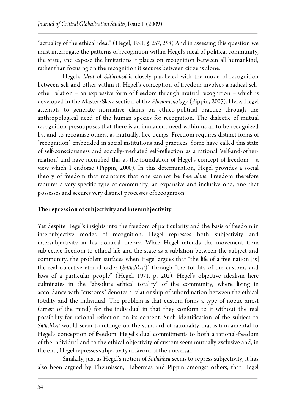"actuality of the ethical idea." (Hegel, 1991, § 257, 258) And in assessing this question we must interrogate the patterns of recognition within Hegel's ideal of political community, the state, and expose the limitations it places on recognition between all humankind, rather than focusing on the recognition it secures between citizens alone.

Hegel's *Ideal* of *Sittlichkeit* is closely paralleled with the mode of recognition between self and other within it. Hegel's conception of freedom involves a radical selfother relation – an expressive form of freedom through mutual recognition – which is developed in the Master/Slave section of the *Phenomenology* (Pippin, 2005). Here, Hegel attempts to generate normative claims on ethico-political practice through the anthropological need of the human species for recognition. The dialectic of mutual recognition presupposes that there is an immanent need within us all to be recognized by, and to recognise others, as mutually, free beings. Freedom requires distinct forms of "recognition" embedded in social institutions and practices. Some have called this state of self-consciousness and socially-mediated self-reflection as a rational 'self-and-otherrelation' and have identified this as the foundation of Hegel's concept of freedom – a view which I endorse (Pippin, 2000). In this determination, Hegel provides a social theory of freedom that maintains that one cannot be free *alone*. Freedom therefore requires a very specific type of community, an expansive and inclusive one, one that possesses and secures very distinct processes of recognition.

#### **The repression of subjectivity and intersubjectivity**

Yet despite Hegel's insights into the freedom of particularity and the basis of freedom in intersubjective modes of recognition, Hegel represses both subjectivity and intersubjectivity in his political theory. While Hegel intends the movement from subjective freedom to ethical life and the state as a sublation between the subject and community, the problem surfaces when Hegel argues that "the life of a free nation [is] the real objective ethical order (*Sittlichkeit*)" through "the totality of the customs and laws of a particular people" (Hegel, 1971, p. 202). Hegel's objective idealism here culminates in the "absolute ethical totality" of the community, where living in accordance with "customs" denotes a relationship of subordination between the ethical totality and the individual. The problem is that custom forms a type of noetic arrest (arrest of the mind) for the individual in that they conform to it without the real possibility for rational reflection on its content. Such identification of the subject to *Sittlichkeit* would seem to infringe on the standard of rationality that is fundamental to Hegel's conception of freedom. Hegel's dual commitments to both a rational-freedom of the individual and to the ethical objectivity of custom seem mutually exclusive and, in the end, Hegel represses subjectivity in favour of the universal.

Similarly, just as Hegel's notion of *Sittlichkeit* seems to repress subjectivity, it has also been argued by Theunissen, Habermas and Pippin amongst others, that Hegel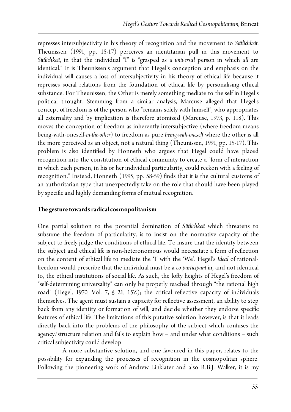represses intersubjectivity in his theory of recognition and the movement to *Sittlichkeit*. Theunissen (1991, pp. 15-17) perceives an identitarian pull in this movement to *Sittlichkeit*, in that the individual "I" is "grasped as a *universal* person in which *all* are identical." It is Theunissen's argument that Hegel's conception and emphasis on the individual will causes a loss of intersubjectivity in his theory of ethical life because it represses social relations from the foundation of ethical life by personalising ethical substance. For Theunissen, the Other is merely something mediate to the self in Hegel's political thought. Stemming from a similar analysis, Marcuse alleged that Hegel's concept of freedom is of the person who "remains solely with himself", who appropriates all externality and by implication is therefore atomized (Marcuse, 1973, p. 118). This moves the conception of freedom as inherently intersubjective (where freedom means being-with-oneself-*in-the-other*) to freedom as pure *being-with-oneself* where the other is all the more perceived as an object, not a natural thing (Theunissen, 1991, pp. 15-17). This problem is also identified by Honneth who argues that Hegel could have placed recognition into the constitution of ethical community to create a "form of interaction in which each person, in his or her individual particularity, could reckon with a feeling of recognition." Instead, Honneth (1995, pp. 58-59) finds that it is the cultural customs of an authoritarian type that unexpectedly take on the role that should have been played by specific and highly demanding forms of mutual recognition.

#### **The gesture towards radical cosmopolitanism**

One partial solution to the potential domination of *Sittlichkeit* which threatens to subsume the freedom of particularity, is to insist on the normative capacity of the subject to freely judge the conditions of ethical life. To insure that the identity between the subject and ethical life is non-heteronomous would necessitate a form of reflection on the content of ethical life to mediate the 'I' with the 'We'. Hegel's *Ideal* of rationalfreedom would prescribe that the individual must be a *co-participant* in, and not identical to, the ethical institutions of social life. As such, the lofty heights of Hegel's freedom of "self-determining universality" can only be properly reached through "the rational high road" (Hegel, 1970, Vol. 7, § 21, 15Z); the critical reflective capacity of individuals themselves. The agent must sustain a capacity for reflective assessment, an ability to step back from any identity or formation of will, and decide whether they endorse specific features of ethical life. The limitations of this putative solution however, is that it leads directly back into the problems of the philosophy of the subject which confuses the agency/structure relation and fails to explain how – and under what conditions – such critical subjectivity could develop.

A more substantive solution, and one favoured in this paper, relates to the possibility for expanding the processes of recognition in the cosmopolitan sphere. Following the pioneering work of Andrew Linklater and also R.B.J. Walker, it is my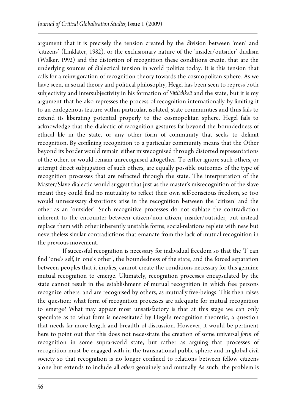argument that it is precisely the tension created by the division between 'men' and 'citizens' (Linklater, 1982), or the exclusionary nature of the 'insider/outsider' dualism (Walker, 1992) and the distortion of recognition these conditions create, that are the underlying sources of dialectical tension in world politics today. It is this tension that calls for a reinvigoration of recognition theory towards the cosmopolitan sphere. As we have seen, in social theory and political philosophy, Hegel has been seen to repress both subjectivity and intersubjectivity in his formation of *Sittlichkeit* and the state, but it is my argument that he also represses the process of recognition internationally by limiting it to an endogenous feature within particular, isolated, state communities and thus fails to extend its liberating potential properly to the cosmopolitan sphere. Hegel fails to acknowledge that the dialectic of recognition gestures far beyond the boundedness of ethical life in the state, or any other form of community that seeks to delimit recognition. By confining recognition to a particular community means that the Other beyond its border would remain either misrecognised through distorted representations of the other, or would remain unrecognised altogether. To either ignore such others, or attempt direct subjugation of such others, are equally possible outcomes of the type of recognition processes that are refracted through the state. The interpretation of the Master/Slave dialectic would suggest that just as the master's misrecognition of the slave meant they could find no mutuality to reflect their own self-conscious freedom, so too would unnecessary distortions arise in the recognition between the 'citizen' and the other as an 'outsider'. Such recognitive processes do not sublate the contradiction inherent to the encounter between citizen/non-citizen, insider/outsider, but instead replace them with other inherently unstable forms; social-relations replete with new but nevertheless similar contradictions that emanate from the lack of mutual recognition in the previous movement.

If successful recognition is necessary for individual freedom so that the 'I' can find 'one's self, in one's other', the boundedness of the state, and the forced separation between peoples that it implies, cannot create the conditions necessary for this genuine mutual recognition to emerge. Ultimately, recognition processes encapsulated by the state cannot result in the establishment of mutual recognition in which free persons recognize others, and are recognised by others, as mutually free-beings. This then raises the question: what form of recognition processes are adequate for mutual recognition to emerge? What may appear most unsatisfactory is that at this stage we can only speculate as to what form is necessitated by Hegel's recognition theoretic, a question that needs far more length and breadth of discussion. However, it would be pertinent here to point out that this does not necessitate the creation of some universal *form* of recognition in some supra-world state, but rather as arguing that processes of recognition must be engaged with in the transnational public sphere and in global civil society so that recognition is no longer confined to relations between fellow citizens alone but extends to include all *others* genuinely and mutually As such, the problem is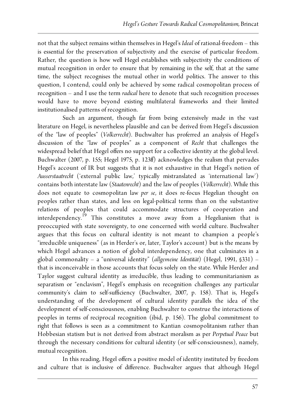not that the subject remains within themselves in Hegel's *Ideal* of rational-freedom – this is essential for the preservation of subjectivity and the exercise of particular freedom. Rather, the question is how well Hegel establishes with subjectivity the conditions of mutual recognition in order to ensure that by remaining in the self, that at the same time, the subject recognises the mutual other in world politics. The answer to this question, I contend, could only be achieved by some radical cosmopolitan process of recognition – and I use the term *radical* here to denote that such recognition processes would have to move beyond existing multilateral frameworks and their limited institutionalised patterns of recognition.

Such an argument, though far from being extensively made in the vast literature on Hegel, is nevertheless plausible and can be derived from Hegel's discussion of the "law of peoples" (*Volkerrecht*). Buchwalter has proferred an analysis of Hegel's discussion of the "law of peoples" as a component of *Recht* that challenges the widespread belief that Hegel offers no support for a collective identity at the global level. Buchwalter (2007, p. 155; Hegel 1975, p. 123ff) acknowledges the realism that pervades Hegel's account of IR but suggests that it is not exhaustive in that Hegel's notion of *Ausserstaatrecht* ('external public law,' typically mistranslated as 'international law') contains both interstate law (*Staatenrecht*) and the law of peoples (*Völkerrecht*). While this does not equate to cosmopolitan law *per se*, it does re-focus Hegelian thought on peoples rather than states, and less on legal-political terms than on the substantive relations of peoples that could accommodate structures of cooperation and interdependency.<sup>19</sup> This constitutes a move away from a Hegelianism that is preoccupied with state sovereignty, to one concerned with world culture. Buchwalter argues that this focus on cultural identity is not meant to champion a people's "irreducible uniqueness" (as in Herder's or, later, Taylor's account) but is the means by which Hegel advances a notion of global interdependency, one that culminates in a global commonality – a "universal identity" (*allgemeine Identität*) (Hegel, 1991, §331) – that is inconceivable in those accounts that focus solely on the state. While Herder and Taylor suggest cultural identity as irreducible, thus leading to communitarianism as separatism or "enclavism", Hegel's emphasis on recognition challenges any particular community's claim to self-sufficiency (Buchwalter, 2007, p. 158). That is, Hegel's understanding of the development of cultural identity parallels the idea of the development of self-consciousness, enabling Buchwalter to construe the interactions of peoples in terms of reciprocal recognition (ibid, p. 156). The global commitment to right that follows is seen as a commitment to Kantian cosmopolitanism rather than Hobbesian statism but is not derived from abstract moralism as per *Perpetual Peace* but through the necessary conditions for cultural identity (or self-consciousness), namely, mutual recognition.

In this reading, Hegel offers a positive model of identity instituted by freedom and culture that is inclusive of difference. Buchwalter argues that although Hegel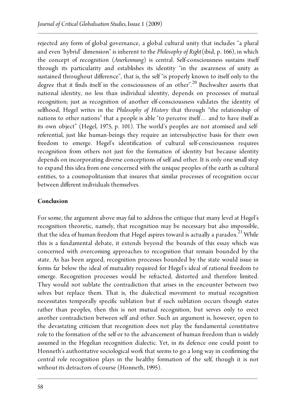rejected any form of global governance, a global cultural unity that includes "a plural and even 'hybrid' dimension" is inherent to the *Philosophy of Right*(ibid, p. 166), in which the concept of recognition (*Anerkennung*) is central. Self-consciousness sustains itself through its particularity and establishes its identity "in the awareness of unity as sustained throughout difference", that is, the self "is properly known to itself only to the degree that it finds itself in the consciousness of an other".<sup>20</sup> Buchwalter asserts that national identity, no less than individual identity, depends on processes of mutual recognition; just as recognition of another elf-consciousness validates the identity of selfhood, Hegel writes in the *Philosophy of History* that through "the relationship of nations to other nations" that a people is able "to perceive itself… and to have itself as its own object" (Hegel, 1975, p. 101). The world's peoples are not atomised and selfreferential, just like human-beings they require an intersubjective basis for their own freedom to emerge. Hegel's identification of cultural self-consciousness requires recognition from others not just for the formation of identity but because identity depends on incorporating diverse conceptions of self and other. It is only one small step to expand this idea from one concerned with the unique peoples of the earth as cultural entities, to a cosmopolitanism that insures that similar processes of recognition occur between different individuals themselves.

#### **Conclusion**

For some, the argument above may fail to address the critique that many level at Hegel's recognition theoretic, namely, that recognition may be necessary but also impossible, that the idea of human freedom that Hegel aspires toward is actually a paradox.<sup>21</sup> While this is a fundamental debate, it extends beyond the bounds of this essay which was concerned with overcoming approaches to recognition that remain bounded by the state. As has been argued, recognition processes bounded by the state would issue in forms far below the ideal of mutuality required for Hegel's ideal of rational freedom to emerge. Recognition processes would be refracted, distorted and therefore limited. They would not sublate the contradiction that arises in the encounter between two selves but replace them. That is, the dialectical movement to mutual recognition necessitates temporally specific sublation but if such sublation occurs though states rather than peoples, then this is not mutual recognition, but serves only to erect another contradiction between self and other. Such an argument is, however, open to the devastating criticism that recognition does not play the fundamental constitutive role to the formation of the self or to the advancement of human freedom than is widely assumed in the Hegelian recognition dialectic. Yet, in its defence one could point to Honneth's authoritative sociological work that seems to go a long way in confirming the central role recognition plays in the healthy formation of the self, though it is not without its detractors of course (Honneth, 1995).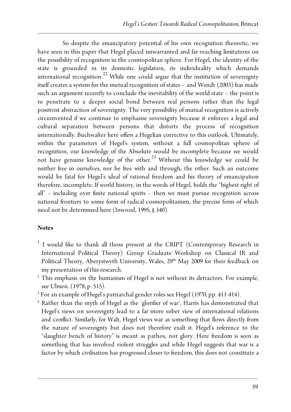So despite the emancipatory potential of his own recognition theoretic, we have seen in this paper that Hegel placed unwarranted and far-reaching limitations on the possibility of recognition in the cosmopolitan sphere. For Hegel, the identity of the state is grounded in its domestic legislation, its individuality which demands international recognition.<sup>22</sup> While one could argue that the institution of sovereignty itself creates a system for the mutual recognition of states – and Wendt (2003) has made such an argument recently to conclude the inevitability of the world state – the point is to penetrate to a deeper social bond between real persons rather than the legal positivist abstraction of sovereignty. The very possibility of mutual recognition is actively circumvented if we continue to emphasise sovereignty because it enforces a legal and cultural separation between persons that distorts the process of recognition internationally. Buchwalter here offers a Hegelian corrective to this outlook. Ultimately, within the parameters of Hegel's system, without a full cosmopolitan sphere of recognition, our knowledge of the Absolute would be incomplete because we would not have genuine knowledge of the other.<sup>23</sup> Without this knowledge we could be neither free in ourselves, nor be free with and through, the other. Such an outcome would be fatal for Hegel's ideal of rational freedom and his theory of emancipation therefore, incomplete. If world history, in the words of Hegel, holds the "highest right of all" – including over finite national spirits – then we must pursue recognition across national frontiers to some form of radical cosmopolitanism, the precise form of which need not be determined here (Inwood, 1995, § 340).

#### **Notes**

- <sup>1</sup> I would like to thank all those present at the CRIPT (Contemporary Research in International Political Theory) Group Graduate Workshop on Classical IR and Political Theory, Aberystwyth University, Wales, 29<sup>th</sup> May 2009 for their feedback on my presentation of this research.
- <sup>2</sup> This emphasis on the humanism of Hegel is not without its detractors. For example, see Ulmen, (1978, p. 515).
- <sup>3</sup> For an example of Hegel's patriarchal gender roles see Hegel (1970, pp. 411-414).
- <sup>4</sup> Rather than the myth of Hegel as the 'glorifier of war', Harris has demonstrated that Hegel's views on sovereignty lead to a far more sober view of international relations and conflict. Similarly, for Walt, Hegel views war as something that flows directly from the nature of sovereignty but does not therefore exalt it. Hegel's reference to the "slaughter bench of history" is meant as pathos, not glory. Here freedom is seen as something that has involved violent struggles and while Hegel suggests that war is a factor by which civilisation has progressed closer to freedom, this does not constitute a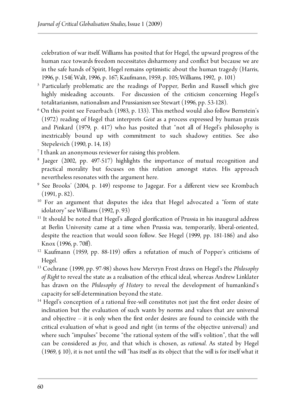celebration of war itself. Williams has posited that for Hegel, the upward progress of the human race towards freedom necessitates disharmony and conflict but because we are in the safe hands of Spirit, Hegel remains optimistic about the human tragedy (Harris, 1996, p. 154f; Walt, 1996, p. 167; Kaufmann, 1959, p. 105;Williams*,* 1992, p. 101)

- <sup>5</sup> Particularly problematic are the readings of Popper, Berlin and Russell which give highly misleading accounts. For discussion of the criticism concerning Hegel's totalitarianism, nationalism and Prussianism see Stewart (1996, pp. 53-128).
- $6$  On this point see Feuerbach (1983, p. 133). This method would also follow Bernstein's (1972) reading of Hegel that interprets *Geist* as a process expressed by human praxis and Pinkard (1979, p. 417) who has posited that "not all of Hegel's philosophy is inextricably bound up with commitment to such shadowy entities. See also Stepelevich (1990, p. 14, 18)
- <sup>7</sup> I thank an anonymous reviewer for raising this problem.
- <sup>8</sup> Jaeger (2002, pp. 497-517) highlights the importance of mutual recognition and practical morality but focuses on this relation amongst states. His approach nevertheless resonates with the argument here.
- <sup>9</sup> See Brooks' (2004, p. 149) response to Jagegar. For a different view see Krombach  $(1991, p. 82)$ .
- <sup>10</sup> For an argument that disputes the idea that Hegel advocated a "form of state idolatory" see Williams (1992, p. 93)<br><sup>11</sup> It should be noted that Hegel's alleged glorification of Prussia in his inaugural address
- at Berlin University came at a time when Prussia was, temporarily, liberal-oriented, despite the reaction that would soon follow. See Hegel (1999, pp. 181-186) and also Knox (1996, p. 70ff).
- <sup>12</sup> Kaufmann (1959, pp. 88-119) offers a refutation of much of Popper's criticisms of Hegel.
- <sup>13</sup> Cochrane (1999, pp. 97-98) shows how Mervryn Frost draws on Hegel's the *Philosophy of Right* to reveal the state as a realisation of the ethical ideal, whereas Andrew Linklater has drawn on the *Philosophy of History* to reveal the development of humankind's capacity for self-determination beyond the state.<br><sup>14</sup> Hegel's conception of a rational free-will constitutes not just the first order desire of
- inclination but the evaluation of such wants by norms and values that are universal and objective – it is only when the first order desires are found to coincide with the critical evaluation of what is good and right (in terms of the objective universal) and where such "impulses" become "the rational system of the will's volition", that the will can be considered as *free*, and that which is chosen, as *rational*. As stated by Hegel (1969, § 10), it is not until the will "has itself as its object that the will is for itself what it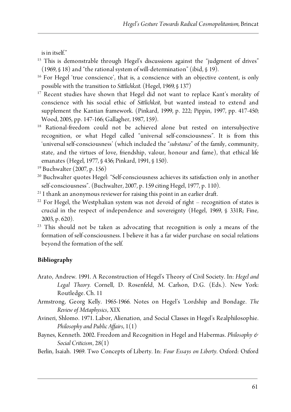is in itself."

- <sup>15</sup> This is demonstrable through Hegel's discussions against the "judgment of drives" (1969, § 18) and "the rational system of will-determination" (ibid, § 19).<br><sup>16</sup> For Hegel 'true conscience', that is, a conscience with an objective content, is only
- possible with the transition to *Sittlichkeit*. (Hegel, 1969*,* § 137)
- <sup>17</sup> Recent studies have shown that Hegel did not want to replace Kant's morality of conscience with his social ethic of *Sittlichkeit*, but wanted instead to extend and supplement the Kantian framework. (Pinkard, 1999, p. 222; Pippin, 1997, pp. 417-450; Wood, 2005, pp. 147-166; Gallagher, 1987, 159).
- <sup>18</sup> Rational-freedom could not be achieved alone but rested on intersubjective recognition, or what Hegel called "universal self-consciousness". It is from this 'universal self-consciousness' (which included the "*substance*" of the family, community, state, and the virtues of love, friendship, valour, honour and fame), that ethical life emanates (Hegel, 1977, § 436; Pinkard, 1991, § 150).
- <sup>19</sup> Buchwalter (2007, p. 156)
- <sup>20</sup> Buchwalter quotes Hegel: "Self-consciousness achieves its satisfaction only in another self-consciousness". (Buchwalter, 2007, p. 159 citing Hegel, 1977, p. 110).
- <sup>21</sup> I thank an anonymous reviewer for raising this point in an earlier draft.
- $22$  For Hegel, the Westphalian system was not devoid of right recognition of states is crucial in the respect of independence and sovereignty (Hegel, 1969, § 331R; Fine, 2003, p. 620).
- <sup>23</sup> This should not be taken as advocating that recognition is only a means of the formation of self-consciousness. I believe it has a far wider purchase on social relations beyond the formation of the self.

#### **Bibliography**

- Arato, Andrew. 1991. A Reconstruction of Hegel's Theory of Civil Society. In: *Hegel and Legal Theory.* Cornell, D. Rosenfeld, M. Carlson, D.G. (Eds.). New York: Routledge. Ch. 11
- Armstrong, Georg Kelly. 1965-1966. Notes on Hegel's 'Lordship and Bondage. *The Review of Metaphysics*, XIX
- Avineri, Shlomo. 1971. Labor, Alienation, and Social Classes in Hegel's Realphilosophie. *Philosophy and Public Affairs*, 1(1)
- Baynes, Kenneth. 2002. Freedom and Recognition in Hegel and Habermas. *Philosophy & Social Criticism*, 28(1)
- Berlin, Isaiah. 1969. Two Concepts of Liberty. In: *Four Essays on Liberty*. Oxford: Oxford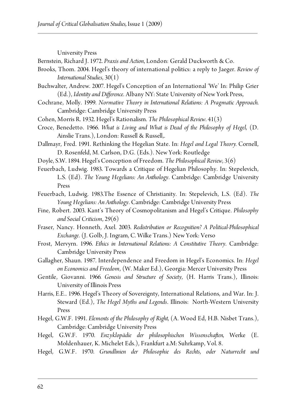University Press

Bernstein, Richard J. 1972. *Praxis and Action*, London: Gerald Duckworth & Co.

- Brooks, Thom. 2004. Hegel's theory of international politics: a reply to Jaeger. *Review of International Studies*, 30(1)
- Buchwalter, Andrew. 2007. Hegel's Conception of an International 'We' In: Philip Grier (Ed.), *Identity and Difference*. Albany NY: State University of New York Press,
- Cochrane, Molly. 1999. *Normative Theory in International Relations: A Pragmatic Approach*. Cambridge: Cambridge University Press
- Cohen, Morris R. 1932. Hegel's Rationalism. *The Philosophical Review*. 41(3)
- Croce, Benedetto. 1966. *What is Living and What is Dead of the Philosophy of Hegel*, (D. Ainslie Trans.), London: Russell & Russell,.
- Dallmayr, Fred. 1991. Rethinking the Hegelian State. In: *Hegel and Legal Theory.* Cornell, D. Rosenfeld, M. Carlson, D.G. (Eds.). New York: Routledge
- Doyle, S.W. 1894. Hegel's Conception of Freedom. *The Philosophical Review*, 3(6)
- Feuerbach, Ludwig. 1983. Towards a Critique of Hegelian Philosophy. In: Stepelevich, L.S. (Ed). *The Young Hegelians: An Anthology*. Cambridge: Cambridge University Press
- Feuerbach, Ludwig. 1983.The Essence of Christianity. In: Stepelevich, L.S. (Ed). *The Young Hegelians: An Anthology*. Cambridge: Cambridge University Press
- Fine, Robert. 2003. Kant's Theory of Cosmopolitanism and Hegel's Critique. *Philosophy and Social Criticism*, 29(6)
- Fraser, Nancy. Honneth, Axel. 2003. *Redistribution or Recognition? A Political-Philosophical Exchange*. (J. Golb, J. Ingram, C. Wilke Trans.) New York: Verso
- Frost, Mervyrn. 1996. *Ethics in International Relations: A Constitutive Theory*. Cambridge: Cambridge University Press
- Gallagher, Shaun. 1987. Interdependence and Freedom in Hegel's Economics. In: *Hegel on Economics and Freedom*, (W. Maker Ed.), Georgia: Mercer University Press
- Gentile, Giovanni. 1966*. Genesis and Structure of Society*, (H. Harris Trans.), Illinois: University of Illinois Press
- Harris, E.E.. 1996. Hegel's Theory of Sovereignty, International Relations, and War. In: J. Steward (Ed.), *The Hegel Myths and Legends*. Illinois: North-Western University Press
- Hegel, G.W.F. 1991. *Elements of the Philosophy of Right*, (A. Wood Ed, H.B. Nisbet Trans.), Cambridge: Cambridge University Press
- Hegel, G.W.F. 1970. *Enzyklopädie der philosophischen Wissenschaften*, Werke (E. Moldenhauer, K. Michelet Eds.), Frankfurt a.M: Suhrkamp, Vol. 8.
- Hegel, G.W.F. 1970. *Grundlinien der Philosophie des Rechts*, *oder Naturrecht und*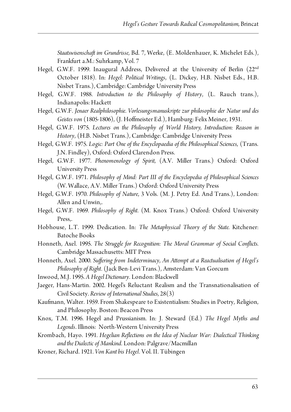*Staatswisenschaft im Grundrisse*, Bd. 7, Werke, (E. Moldenhauer, K. Michelet Eds.), Frankfurt a.M.: Suhrkamp, Vol. 7

- Hegel, G.W.F. 1999. Inaugural Address, Delivered at the University of Berlin (22nd October 1818). In: *Hegel: Political Writings*, (L. Dickey, H.B. Nisbet Eds., H.B. Nisbet Trans.), Cambridge: Cambridge University Press
- Hegel, G.W.F. 1988. *Introduction to the Philosophy of History*, (L. Rauch trans.), Indianapolis: Hackett
- Hegel, G.W.F. *Jenaer Realphilosophie*. *Vorlesungsmanuskripte zur philosophie der Natur und des Geistes von* (1805-1806), (J. Hoffmeister Ed.), Hamburg: Felix Meiner, 1931.
- Hegel, G.W.F. 1975. *Lectures on the Philosophy of World History, Introduction: Reason in History*, (H.B. Nisbet Trans.), Cambridge: Cambridge University Press
- Hegel, G.W.F. 1975. *Logic: Part One of the Encyclopaedia of the Philosophical Sciences*, (Trans. J.N. Findley), Oxford: Oxford Clarendon Press.
- Hegel, G.W.F. 1977. *Phenomenology of Spirit*, (A.V. Miller Trans.) Oxford: Oxford University Press
- Hegel, G.W.F. 1971. *Philosophy of Mind: Part III of the Encyclopedia of Philosophical Sciences* (W. Wallace, A.V. Miller Trans.) Oxford: Oxford University Press
- Hegel, G.W.F. 1970. *Philosophy of Nature*, 3 Vols. (M. J. Petry Ed. And Trans.), London: Allen and Unwin,.
- Hegel, G.W.F. 1969. *Philosophy of Right*. (M. Knox Trans.) Oxford: Oxford University Press,.
- Hobhouse, L.T. 1999. Dedication. In: *The Metaphysical Theory of the State*. Kitchener: Batoche Books
- Honneth, Axel. 1995. *The Struggle for Recognition: The Moral Grammar of Social Conflicts*. Cambridge Massachusetts: MIT Press
- Honneth, Axel. 2000. *Suffering from Indeterminacy*, *An Attempt at a Reactualisation of Hegel's Philosophy of Right*. (Jack Ben-Levi Trans.), Amsterdam: Van Gorcum
- Inwood, M.J. 1995. *A Hegel Dictionary*. London: Blackwell
- Jaeger, Hans-Martin. 2002. Hegel's Reluctant Realism and the Transnationalisation of Civil Society. *Review of International Studies*, 28(3)
- Kaufmann, Walter. 1959. From Shakespeare to Existentialism: Studies in Poetry, Religion, and Philosophy. Boston: Beacon Press
- Knox, T.M. 1996. Hegel and Prussianism. In: J. Steward (Ed.) *The Hegel Myths and Legends*. Illinois: North-Western University Press
- Krombach, Hayo. 1991. *Hegelian Reflections on the Idea of Nuclear War: Dialectical Thinking and the Dialectic of Mankind*. London: Palgrave/Macmillan
- Kroner, Richard. 1921. *Von Kant bis Hegel*. Vol. II. Tübingen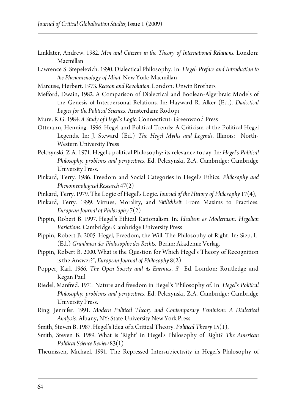- Linklater, Andrew. 1982. *Men and Citizens in the Theory of International Relations*. London: Macmillan
- Lawrence S. Stepelevich. 1990. Dialectical Philosophy. In: *Hegel: Preface and Introduction to the Phenomenology of Mind*. New York: Macmillan
- Marcuse, Herbert. 1973. *Reason and Revolution*. London: Unwin Brothers
- Mefford, Dwain, 1982. A Comparison of Dialectical and Boolean-Algerbraic Models of the Genesis of Interpersonal Relations. In: Hayward R. Alker (Ed.). *Dialectical Logics for the Political Sciences*. Amsterdam: Rodopi
- Mure, R.G. 1984. *A Study of Hegel's Logic*. Connecticut: Greenwood Press
- Ottmann, Henning. 1996. Hegel and Political Trends: A Criticism of the Political Hegel Legends. In: J. Steward (Ed.) *The Hegel Myths and Legends*. Illinois: North-Western University Press
- Pelczynski, Z.A. 1971. Hegel's political Philosophy: its relevance today. In: *Hegel's Political Philosophy: problems and perspectives*. Ed. Pelczynski, Z.A. Cambridge: Cambridge University Press.
- Pinkard, Terry. 1986. Freedom and Social Categories in Hegel's Ethics. *Philosophy and Phenomenological Research* 47(2)
- Pinkard, Terry. 1979. The Logic of Hegel's Logic. *Journal of the History of Philosophy* 17(4),
- Pinkard, Terry. 1999. Virtues, Morality, and *Sittlichkeit*: From Maxims to Practices. *European Journal of Philosophy* 7(2)
- Pippin, Robert B. 1997. Hegel's Ethical Rationalism. In: *Idealism as Modernism: Hegelian Variations*. Cambridge: Cambridge University Press
- Pippin, Robert B. 2005. Hegel, Freedom, the Will. The Philosophy of Right. In: Siep, L. (Ed.) *Grunlinien der Philosophie des Rechts*. Berlin: Akademie Verlag.
- Pippin, Robert B. 2000. What is the Question for Which Hegel's Theory of Recognition is the Answer?", *European Journal of Philosophy* 8(2)
- Popper, Karl. 1966. *The Open Society and its Enemies*. 5th Ed. London: Routledge and Kegan Paul
- Riedel, Manfred. 1971. Nature and freedom in Hegel's 'Philosophy of. In: *Hegel's Political Philosophy: problems and perspectives*. Ed. Pelczynski, Z.A. Cambridge: Cambridge University Press.
- Ring, Jennifer. 1991. *Modern Political Theory and Contemporary Feminism: A Dialectical Analysis*. Albany, NY: State University New York Press
- Smith, Steven B. 1987. Hegel's Idea of a Critical Theory. *Political Theory* 15(1),
- Smith, Steven B. 1989. What is 'Right' in Hegel's Philosophy of Right? *The American Political Science Review* 83(1)
- Theunissen, Michael. 1991. The Repressed Intersubjectivity in Hegel's Philosophy of